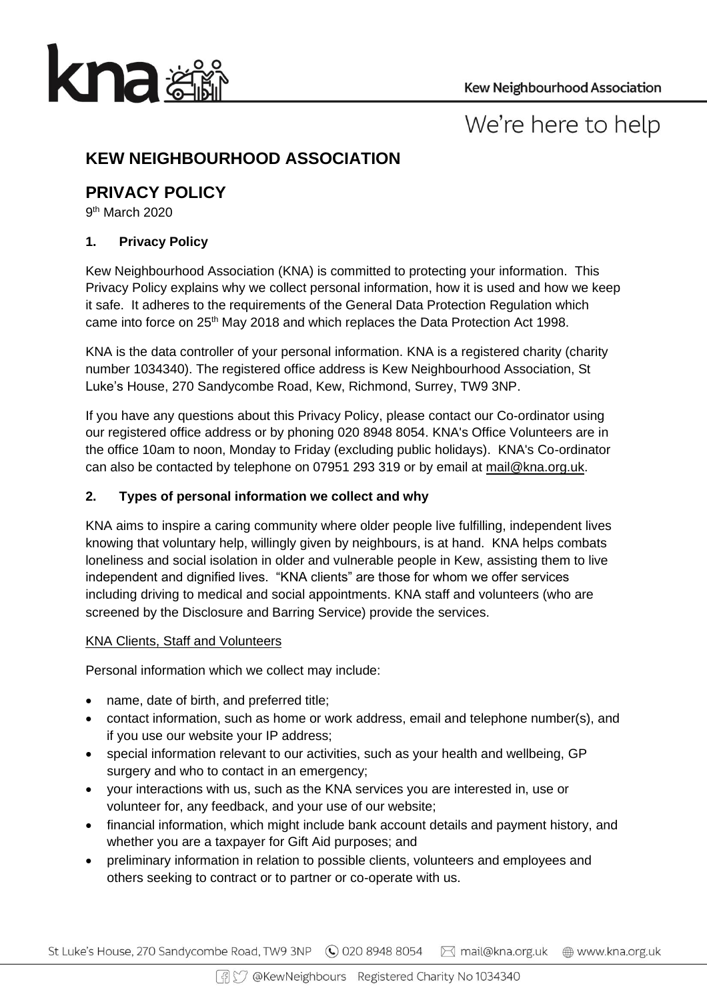

# We're here to help

# **KEW NEIGHBOURHOOD ASSOCIATION**

# **PRIVACY POLICY**

9<sup>th</sup> March 2020

# **1. Privacy Policy**

Kew Neighbourhood Association (KNA) is committed to protecting your information. This Privacy Policy explains why we collect personal information, how it is used and how we keep it safe. It adheres to the requirements of the General Data Protection Regulation which came into force on 25<sup>th</sup> May 2018 and which replaces the Data Protection Act 1998.

KNA is the data controller of your personal information. KNA is a registered charity (charity number 1034340). The registered office address is Kew Neighbourhood Association, St Luke's House, 270 Sandycombe Road, Kew, Richmond, Surrey, TW9 3NP.

If you have any questions about this Privacy Policy, please contact our Co-ordinator using our registered office address or by phoning 020 8948 8054. KNA's Office Volunteers are in the office 10am to noon, Monday to Friday (excluding public holidays). KNA's Co-ordinator can also be contacted by telephone on 07951 293 319 or by email at [mail@kna.org.uk.](mailto:mail@kna.org.uk)

# **2. Types of personal information we collect and why**

KNA aims to inspire a caring community where older people live fulfilling, independent lives knowing that voluntary help, willingly given by neighbours, is at hand. KNA helps combats loneliness and social isolation in older and vulnerable people in Kew, assisting them to live independent and dignified lives. "KNA clients" are those for whom we offer services including driving to medical and social appointments. KNA staff and volunteers (who are screened by the Disclosure and Barring Service) provide the services.

# KNA Clients, Staff and Volunteers

Personal information which we collect may include:

- name, date of birth, and preferred title;
- contact information, such as home or work address, email and telephone number(s), and if you use our website your IP address;
- special information relevant to our activities, such as your health and wellbeing, GP surgery and who to contact in an emergency;
- your interactions with us, such as the KNA services you are interested in, use or volunteer for, any feedback, and your use of our website;
- financial information, which might include bank account details and payment history, and whether you are a taxpayer for Gift Aid purposes; and
- preliminary information in relation to possible clients, volunteers and employees and others seeking to contract or to partner or co-operate with us.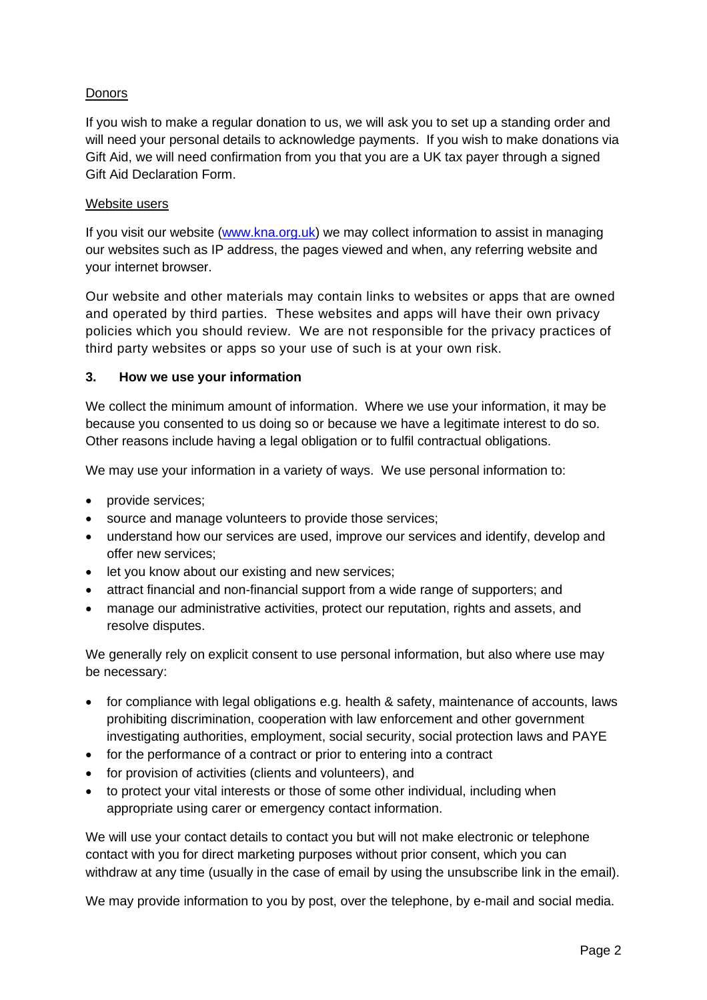# Donors

If you wish to make a regular donation to us, we will ask you to set up a standing order and will need your personal details to acknowledge payments. If you wish to make donations via Gift Aid, we will need confirmation from you that you are a UK tax payer through a signed Gift Aid Declaration Form.

#### Website users

If you visit our website [\(www.kna.org.uk\)](http://www.kna.org.uk/) we may collect information to assist in managing our websites such as IP address, the pages viewed and when, any referring website and your internet browser.

Our website and other materials may contain links to websites or apps that are owned and operated by third parties. These websites and apps will have their own privacy policies which you should review. We are not responsible for the privacy practices of third party websites or apps so your use of such is at your own risk.

#### **3. How we use your information**

We collect the minimum amount of information. Where we use your information, it may be because you consented to us doing so or because we have a legitimate interest to do so. Other reasons include having a legal obligation or to fulfil contractual obligations.

We may use your information in a variety of ways. We use personal information to:

- provide services;
- source and manage volunteers to provide those services;
- understand how our services are used, improve our services and identify, develop and offer new services;
- let you know about our existing and new services;
- attract financial and non-financial support from a wide range of supporters; and
- manage our administrative activities, protect our reputation, rights and assets, and resolve disputes.

We generally rely on explicit consent to use personal information, but also where use may be necessary:

- for compliance with legal obligations e.g. health & safety, maintenance of accounts, laws prohibiting discrimination, cooperation with law enforcement and other government investigating authorities, employment, social security, social protection laws and PAYE
- for the performance of a contract or prior to entering into a contract
- for provision of activities (clients and volunteers), and
- to protect your vital interests or those of some other individual, including when appropriate using carer or emergency contact information.

We will use your contact details to contact you but will not make electronic or telephone contact with you for direct marketing purposes without prior consent, which you can withdraw at any time (usually in the case of email by using the unsubscribe link in the email).

We may provide information to you by post, over the telephone, by e-mail and social media.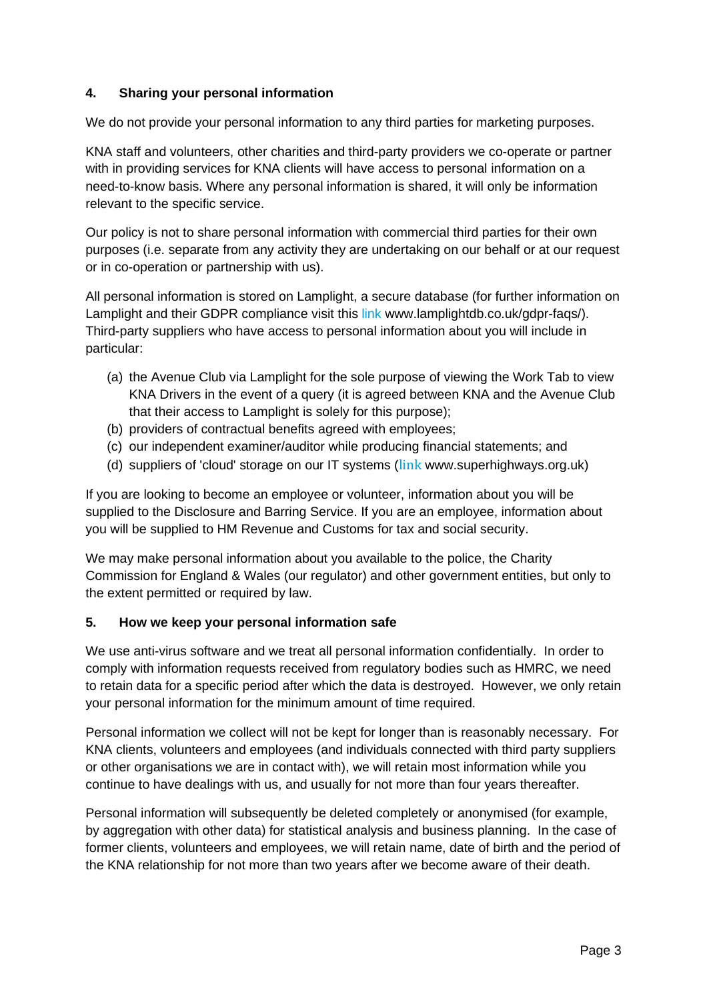## **4. Sharing your personal information**

We do not provide your personal information to any third parties for marketing purposes.

KNA staff and volunteers, other charities and third-party providers we co-operate or partner with in providing services for KNA clients will have access to personal information on a need-to-know basis. Where any personal information is shared, it will only be information relevant to the specific service.

Our policy is not to share personal information with commercial third parties for their own purposes (i.e. separate from any activity they are undertaking on our behalf or at our request or in co-operation or partnership with us).

All personal information is stored on Lamplight, a secure database (for further information on Lamplight and their GDPR compliance visit this [link](https://www.lamplightdb.co.uk/the-system/gdpr/) www.lamplightdb.co.uk/gdpr-faqs/). Third-party suppliers who have access to personal information about you will include in particular:

- (a) the Avenue Club via Lamplight for the sole purpose of viewing the Work Tab to view KNA Drivers in the event of a query (it is agreed between KNA and the Avenue Club that their access to Lamplight is solely for this purpose);
- (b) providers of contractual benefits agreed with employees;
- (c) our independent examiner/auditor while producing financial statements; and
- (d) suppliers of 'cloud' storage on our IT systems ([link](https://superhighways.org.uk/) www.superhighways.org.uk)

If you are looking to become an employee or volunteer, information about you will be supplied to the Disclosure and Barring Service. If you are an employee, information about you will be supplied to HM Revenue and Customs for tax and social security.

We may make personal information about you available to the police, the Charity Commission for England & Wales (our regulator) and other government entities, but only to the extent permitted or required by law.

#### **5. How we keep your personal information safe**

We use anti-virus software and we treat all personal information confidentially. In order to comply with information requests received from regulatory bodies such as HMRC, we need to retain data for a specific period after which the data is destroyed. However, we only retain your personal information for the minimum amount of time required.

Personal information we collect will not be kept for longer than is reasonably necessary. For KNA clients, volunteers and employees (and individuals connected with third party suppliers or other organisations we are in contact with), we will retain most information while you continue to have dealings with us, and usually for not more than four years thereafter.

Personal information will subsequently be deleted completely or anonymised (for example, by aggregation with other data) for statistical analysis and business planning. In the case of former clients, volunteers and employees, we will retain name, date of birth and the period of the KNA relationship for not more than two years after we become aware of their death.